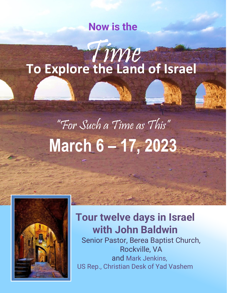### **Now is the**

## Time **To Explore the Land of Israel**

# "For Such a Time as This" **March 6 – 17, 2023**



## **Tour twelve days in Israel with John Baldwin**

Senior Pastor, Berea Baptist Church, Rockville, VA and Mark Jenkins, US Rep., Christian Desk of Yad Vashem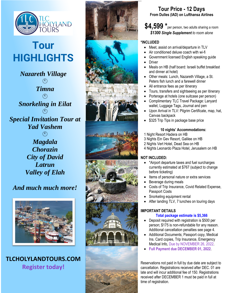

## **Tour HIGHLIGHTS**

*Nazareth Village*  $\bigodot$ *Timna*  $\bigodot$ *Snorkeling in Eilat*  $\bigcirc$ *Special Invitation Tour at Yad Vashem*  $\bigcirc$ *Magdala Chorazin City of David Latrun*

*And much much more!*

*Valley of Elah*



**TLCHOLYLANDTOURS.COM Register today!**



#### **Tour Price - 1 2 Days From Dulles (IAD) on Lufthansa Airlines**

**\$4, 599 \*** per person, two adults sharing a room *\$1300 Single Supplement to room alone*

#### **\*INCLUDED**

- Meet, assist on arrival/departure in TLV
- Air conditioned deluxe coach with wi-fi
- Government licensed English speaking guide
- **Driver**
- Meals on HB (half board: Israeli buffet breakfast and dinner at hotel)
- Other meals: Lunch, Nazareth Village, a St. Peters fish lunch and a farewell dinner
- All entrance fees as per itinerary
- Tours, transfers and sightseeing as per itinerary
- Porterage at hotels (one suitcase per person)
- Complimentary TLC Travel Package: Lanyard wallet, Luggage Tags, Journal and pen
- Upon Arrival in TLV: Pilgrim Certificate, map, hat, Canvas backpack
- \$325 Trip Tips in package base price

#### **10 nights' Accommodations:**

- 1 Night Resort Hadera on HB
- 3 Nights Ein Gev Resort, Galilee on HB
- 2 Night s Vert Hotel, Dead Sea on HB
- 4 Nights Leonardo Plaza Hotel, Jerusalem on HB

#### **NOT INCLUDED:**

- \*Airport departure taxes and fuel surcharges currently estimated at \$767 (subject to change before ticketing)
- Items of personal nature or extra services
- Beverage during meals
	- Costs of Trip Insurance, Covid Related Expense, Passport Costs
- Snorkeling equipment rental
- After landing TLV, 7 lunches on touring days

#### **IMPORTANT DETAILS**

#### **Total package estimate is \$5,366**

- Deposit required with registration is \$500 per person; \$175 is non -refundable for any reason. Additional cancellation penalties see page 4.
- Additional Documents; Passport copy, Medical Ins. Card copies, Trip Insurance, Emergency Medical Info, Due by NOVEMBER 26, 202 2.
- **Full Payment due DECEMBER 01, 2022**.

Reservations not paid in full by due date are subject to cancellation. Registrations received after DEC. 01 are late and will incur additional fee of 150. Registrations received after DECEMBER 1 must be paid in full at time of registration.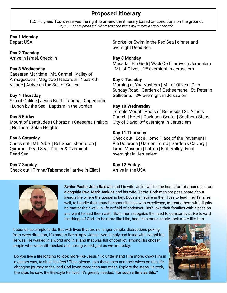#### **Proposed Itinerary**

TLC Holyland Tours reserves the right to amend the itinerary based on conditions on the ground. Days 9 – 11 are proposed. Site reservation times will determine final schedule.

#### **Day 1 Monday**

Depart USA

#### **Day 2 Tuesday**

Arrive In Israel, Check-in

#### **Day 3 Wednesday**

Caesarea Maritime | Mt. Carmel | Valley of Armageddon | Megiddo | Nazareth | Nazareth Village | Arrive on the Sea of Galilee

#### **Day 4 Thursday**

Sea of Galilee | Jesus Boat | Tabgha | Capernaum | Lunch by the Sea | Baptism in the Jordan

#### **Day 5 Friday**

Mount of Beatitudes | Chorazin | Caesarea Philippi | Northern Golan Heights

#### **Day 6 Saturday**

Check out | Mt. Arbel | Bet Shan, short stop | Qumran | Dead Sea | Dinner & Overnight Dead Sea

#### **Day 7 Sunday**

Check out | Timna/Tabernacle | arrive in Eilat |

Snorkel or Swim in the Red Sea | dinner and overnight Dead Sea

#### **Day 8 Monday**

Masada | Ein Gedi | Wadi Qelt | arrive in Jerusalem | Mt. of Olives | 1<sup>st</sup> overnight in Jerusalem

#### **Day 9 Tuesday**

Morning at Yad Vashem | Mt. of Olives | Palm Sunday Road | Garden of Gethsemane | St. Peter in Gallicantu |  $2<sup>nd</sup>$  overnight in Jerusalem

#### **Day 10 Wednesday**

Temple Mount | Pools of Bethesda | St. Anne's Church | Kotel | Davidson Center | Southern Steps | City of David| 3rd overnight in Jerusalem

#### **Day 11 Thursday**

Check out | Ecce Homo Place of the Pavement | Via Dolorosa | Garden Tomb | Gordon's Calvary | Israel Museum | Latrun | Elah Valley| Final overnight in Jerusalem

#### **Day 12 Friday**

Arrive in the USA



**Senior Pastor John Baldwin** and his wife, Juliet will be the hosts for this incredible tour **alongside Rev. Mark Jenkins** and his wife, Terrie. Both men are passionate about living a life where the gospel is key. Both men strive in their lives to lead their families well, to handle their church responsibilities with excellence, to treat others with dignity no matter their walk in life or field of endeavor. Both love their families with a passion and want to lead them well. Both men recognize the need to constantly strive toward the things of God…to be more like Him, hear Him more clearly, look more like Him.

It sounds so simple to do. But with lives that are no longer simple, distractions poking from every direction, it's hard to live simply. Jesus lived simply and loved with everything He was. He walked in a world and in a land that was full of conflict, among His chosen people who were stiff-necked and strong-willed, just as we are today.

Do you live a life longing to look more like Jesus? To understand Him more, know Him in a deeper way, to sit at His feet? Then please…join these men and their wives on this lifechanging journey to the land God loved more than any other. Explore the steps He took, the sites he saw, the life-style He lived. It's greatly needed, "**for such a time as this."**